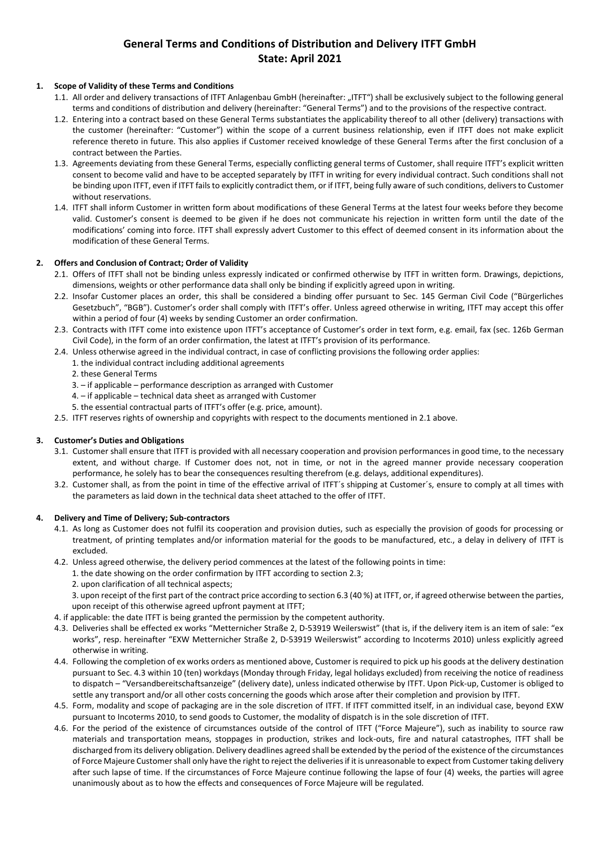# **General Terms and Conditions of Distribution and Delivery ITFT GmbH State: April 2021**

# **1. Scope of Validity of these Terms and Conditions**

- 1.1. All order and delivery transactions of ITFT Anlagenbau GmbH (hereinafter: "ITFT") shall be exclusively subject to the following general terms and conditions of distribution and delivery (hereinafter: "General Terms") and to the provisions of the respective contract.
- 1.2. Entering into a contract based on these General Terms substantiates the applicability thereof to all other (delivery) transactions with the customer (hereinafter: "Customer") within the scope of a current business relationship, even if ITFT does not make explicit reference thereto in future. This also applies if Customer received knowledge of these General Terms after the first conclusion of a contract between the Parties.
- 1.3. Agreements deviating from these General Terms, especially conflicting general terms of Customer, shall require ITFT's explicit written consent to become valid and have to be accepted separately by ITFT in writing for every individual contract. Such conditions shall not be binding upon ITFT, even if ITFT fails to explicitly contradict them, or if ITFT, being fully aware of such conditions, delivers to Customer without reservations.
- 1.4. ITFT shall inform Customer in written form about modifications of these General Terms at the latest four weeks before they become valid. Customer's consent is deemed to be given if he does not communicate his rejection in written form until the date of the modifications' coming into force. ITFT shall expressly advert Customer to this effect of deemed consent in its information about the modification of these General Terms.

# **2. Offers and Conclusion of Contract; Order of Validity**

- 2.1. Offers of ITFT shall not be binding unless expressly indicated or confirmed otherwise by ITFT in written form. Drawings, depictions, dimensions, weights or other performance data shall only be binding if explicitly agreed upon in writing.
- 2.2. Insofar Customer places an order, this shall be considered a binding offer pursuant to Sec. 145 German Civil Code ("Bürgerliches Gesetzbuch", "BGB"). Customer's order shall comply with ITFT's offer. Unless agreed otherwise in writing, ITFT may accept this offer within a period of four (4) weeks by sending Customer an order confirmation.
- 2.3. Contracts with ITFT come into existence upon ITFT's acceptance of Customer's order in text form, e.g. email, fax (sec. 126b German Civil Code), in the form of an order confirmation, the latest at ITFT's provision of its performance.
- 2.4. Unless otherwise agreed in the individual contract, in case of conflicting provisions the following order applies:
	- 1. the individual contract including additional agreements
		- 2. these General Terms
		- 3. if applicable performance description as arranged with Customer
		- 4. if applicable technical data sheet as arranged with Customer
		- 5. the essential contractual parts of ITFT's offer (e.g. price, amount).
- 2.5. ITFT reserves rights of ownership and copyrights with respect to the documents mentioned in 2.1 above.

# **3. Customer's Duties and Obligations**

- 3.1. Customer shall ensure that ITFT is provided with all necessary cooperation and provision performances in good time, to the necessary extent, and without charge. If Customer does not, not in time, or not in the agreed manner provide necessary cooperation performance, he solely has to bear the consequences resulting therefrom (e.g. delays, additional expenditures).
- 3.2. Customer shall, as from the point in time of the effective arrival of ITFT´s shipping at Customer´s, ensure to comply at all times with the parameters as laid down in the technical data sheet attached to the offer of ITFT.

# **4. Delivery and Time of Delivery; Sub-contractors**

- 4.1. As long as Customer does not fulfil its cooperation and provision duties, such as especially the provision of goods for processing or treatment, of printing templates and/or information material for the goods to be manufactured, etc., a delay in delivery of ITFT is excluded.
- 4.2. Unless agreed otherwise, the delivery period commences at the latest of the following points in time:
	- 1. the date showing on the order confirmation by ITFT according to section 2.3;
		- 2. upon clarification of all technical aspects;
	- 3. upon receipt of the first part of the contract price according to section 6.3 (40 %) at ITFT, or, if agreed otherwise between the parties, upon receipt of this otherwise agreed upfront payment at ITFT;
- 4. if applicable: the date ITFT is being granted the permission by the competent authority.
- 4.3. Deliveries shall be effected ex works "Metternicher Straße 2, D-53919 Weilerswist" (that is, if the delivery item is an item of sale: "ex works", resp. hereinafter "EXW Metternicher Straße 2, D-53919 Weilerswist" according to Incoterms 2010) unless explicitly agreed otherwise in writing.
- 4.4. Following the completion of ex works orders as mentioned above, Customer is required to pick up his goods at the delivery destination pursuant to Sec. 4.3 within 10 (ten) workdays (Monday through Friday, legal holidays excluded) from receiving the notice of readiness to dispatch – "Versandbereitschaftsanzeige" (delivery date), unless indicated otherwise by ITFT. Upon Pick-up, Customer is obliged to settle any transport and/or all other costs concerning the goods which arose after their completion and provision by ITFT.
- 4.5. Form, modality and scope of packaging are in the sole discretion of ITFT. If ITFT committed itself, in an individual case, beyond EXW pursuant to Incoterms 2010, to send goods to Customer, the modality of dispatch is in the sole discretion of ITFT.
- 4.6. For the period of the existence of circumstances outside of the control of ITFT ("Force Majeure"), such as inability to source raw materials and transportation means, stoppages in production, strikes and lock-outs, fire and natural catastrophes, ITFT shall be discharged from its delivery obligation. Delivery deadlines agreed shall be extended by the period of the existence of the circumstances of Force Majeure Customer shall only have the right to reject the deliveries if it is unreasonable to expect from Customer taking delivery after such lapse of time. If the circumstances of Force Majeure continue following the lapse of four (4) weeks, the parties will agree unanimously about as to how the effects and consequences of Force Majeure will be regulated.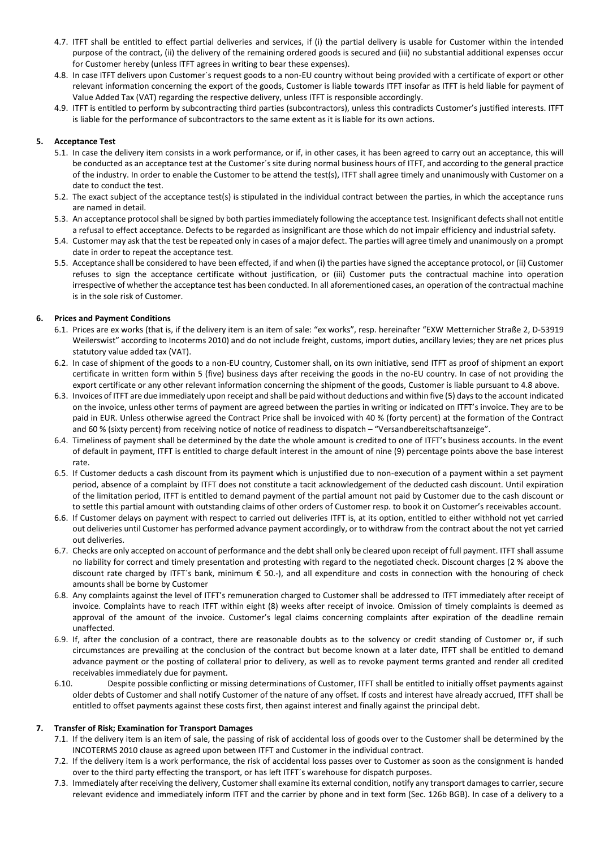- 4.7. ITFT shall be entitled to effect partial deliveries and services, if (i) the partial delivery is usable for Customer within the intended purpose of the contract, (ii) the delivery of the remaining ordered goods is secured and (iii) no substantial additional expenses occur for Customer hereby (unless ITFT agrees in writing to bear these expenses).
- 4.8. In case ITFT delivers upon Customer´s request goods to a non-EU country without being provided with a certificate of export or other relevant information concerning the export of the goods, Customer is liable towards ITFT insofar as ITFT is held liable for payment of Value Added Tax (VAT) regarding the respective delivery, unless ITFT is responsible accordingly.
- 4.9. ITFT is entitled to perform by subcontracting third parties (subcontractors), unless this contradicts Customer's justified interests. ITFT is liable for the performance of subcontractors to the same extent as it is liable for its own actions.

# **5. Acceptance Test**

- 5.1. In case the delivery item consists in a work performance, or if, in other cases, it has been agreed to carry out an acceptance, this will be conducted as an acceptance test at the Customer´s site during normal business hours of ITFT, and according to the general practice of the industry. In order to enable the Customer to be attend the test(s), ITFT shall agree timely and unanimously with Customer on a date to conduct the test.
- 5.2. The exact subject of the acceptance test(s) is stipulated in the individual contract between the parties, in which the acceptance runs are named in detail.
- 5.3. An acceptance protocol shall be signed by both parties immediately following the acceptance test. Insignificant defects shall not entitle a refusal to effect acceptance. Defects to be regarded as insignificant are those which do not impair efficiency and industrial safety.
- 5.4. Customer may ask that the test be repeated only in cases of a major defect. The parties will agree timely and unanimously on a prompt date in order to repeat the acceptance test.
- 5.5. Acceptance shall be considered to have been effected, if and when (i) the parties have signed the acceptance protocol, or (ii) Customer refuses to sign the acceptance certificate without justification, or (iii) Customer puts the contractual machine into operation irrespective of whether the acceptance test has been conducted. In all aforementioned cases, an operation of the contractual machine is in the sole risk of Customer.

# **6. Prices and Payment Conditions**

- 6.1. Prices are ex works (that is, if the delivery item is an item of sale: "ex works", resp. hereinafter "EXW Metternicher Straße 2, D-53919 Weilerswist" according to Incoterms 2010) and do not include freight, customs, import duties, ancillary levies; they are net prices plus statutory value added tax (VAT).
- 6.2. In case of shipment of the goods to a non-EU country, Customer shall, on its own initiative, send ITFT as proof of shipment an export certificate in written form within 5 (five) business days after receiving the goods in the no-EU country. In case of not providing the export certificate or any other relevant information concerning the shipment of the goods, Customer is liable pursuant to 4.8 above.
- 6.3. Invoices of ITFT are due immediately upon receipt and shall be paid without deductions and within five (5) days to the account indicated on the invoice, unless other terms of payment are agreed between the parties in writing or indicated on ITFT's invoice. They are to be paid in EUR. Unless otherwise agreed the Contract Price shall be invoiced with 40 % (forty percent) at the formation of the Contract and 60 % (sixty percent) from receiving notice of notice of readiness to dispatch – "Versandbereitschaftsanzeige".
- 6.4. Timeliness of payment shall be determined by the date the whole amount is credited to one of ITFT's business accounts. In the event of default in payment, ITFT is entitled to charge default interest in the amount of nine (9) percentage points above the base interest rate.
- 6.5. If Customer deducts a cash discount from its payment which is unjustified due to non-execution of a payment within a set payment period, absence of a complaint by ITFT does not constitute a tacit acknowledgement of the deducted cash discount. Until expiration of the limitation period, ITFT is entitled to demand payment of the partial amount not paid by Customer due to the cash discount or to settle this partial amount with outstanding claims of other orders of Customer resp. to book it on Customer's receivables account.
- 6.6. If Customer delays on payment with respect to carried out deliveries ITFT is, at its option, entitled to either withhold not yet carried out deliveries until Customer has performed advance payment accordingly, or to withdraw from the contract about the not yet carried out deliveries.
- 6.7. Checks are only accepted on account of performance and the debt shall only be cleared upon receipt of full payment. ITFT shall assume no liability for correct and timely presentation and protesting with regard to the negotiated check. Discount charges (2 % above the discount rate charged by ITFT´s bank, minimum € 50.-), and all expenditure and costs in connection with the honouring of check amounts shall be borne by Customer
- 6.8. Any complaints against the level of ITFT's remuneration charged to Customer shall be addressed to ITFT immediately after receipt of invoice. Complaints have to reach ITFT within eight (8) weeks after receipt of invoice. Omission of timely complaints is deemed as approval of the amount of the invoice. Customer's legal claims concerning complaints after expiration of the deadline remain unaffected.
- 6.9. If, after the conclusion of a contract, there are reasonable doubts as to the solvency or credit standing of Customer or, if such circumstances are prevailing at the conclusion of the contract but become known at a later date, ITFT shall be entitled to demand advance payment or the posting of collateral prior to delivery, as well as to revoke payment terms granted and render all credited receivables immediately due for payment.
- 6.10. Despite possible conflicting or missing determinations of Customer, ITFT shall be entitled to initially offset payments against older debts of Customer and shall notify Customer of the nature of any offset. If costs and interest have already accrued, ITFT shall be entitled to offset payments against these costs first, then against interest and finally against the principal debt.

# **7. Transfer of Risk; Examination for Transport Damages**

- 7.1. If the delivery item is an item of sale, the passing of risk of accidental loss of goods over to the Customer shall be determined by the INCOTERMS 2010 clause as agreed upon between ITFT and Customer in the individual contract.
- 7.2. If the delivery item is a work performance, the risk of accidental loss passes over to Customer as soon as the consignment is handed over to the third party effecting the transport, or has left ITFT´s warehouse for dispatch purposes.
- 7.3. Immediately after receiving the delivery, Customer shall examine its external condition, notify any transport damages to carrier,secure relevant evidence and immediately inform ITFT and the carrier by phone and in text form (Sec. 126b BGB). In case of a delivery to a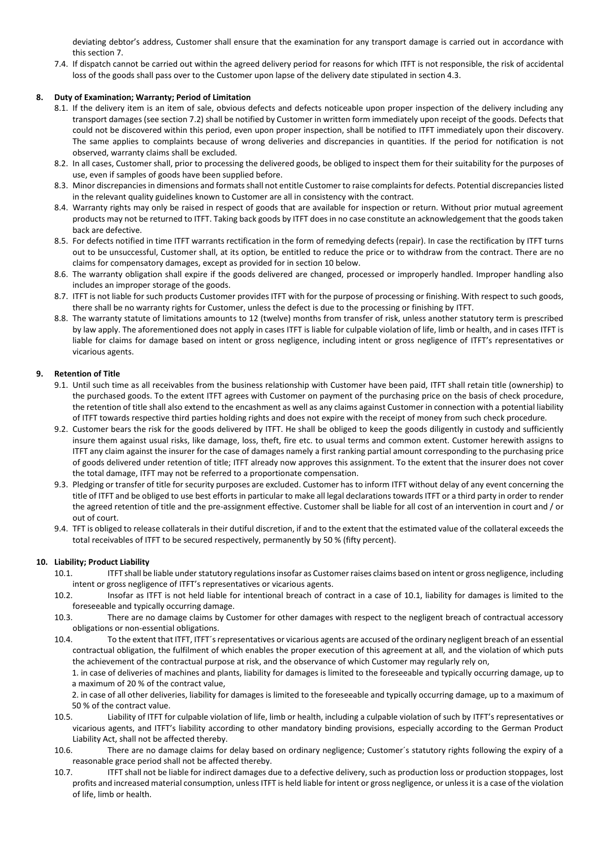deviating debtor's address, Customer shall ensure that the examination for any transport damage is carried out in accordance with this section 7.

7.4. If dispatch cannot be carried out within the agreed delivery period for reasons for which ITFT is not responsible, the risk of accidental loss of the goods shall pass over to the Customer upon lapse of the delivery date stipulated in section 4.3.

# **8. Duty of Examination; Warranty; Period of Limitation**

- 8.1. If the delivery item is an item of sale, obvious defects and defects noticeable upon proper inspection of the delivery including any transport damages (see section 7.2) shall be notified by Customer in written form immediately upon receipt of the goods. Defects that could not be discovered within this period, even upon proper inspection, shall be notified to ITFT immediately upon their discovery. The same applies to complaints because of wrong deliveries and discrepancies in quantities. If the period for notification is not observed, warranty claims shall be excluded.
- 8.2. In all cases, Customer shall, prior to processing the delivered goods, be obliged to inspect them for their suitability for the purposes of use, even if samples of goods have been supplied before.
- 8.3. Minor discrepancies in dimensions and formats shall not entitle Customer to raise complaints for defects. Potential discrepancies listed in the relevant quality guidelines known to Customer are all in consistency with the contract.
- 8.4. Warranty rights may only be raised in respect of goods that are available for inspection or return. Without prior mutual agreement products may not be returned to ITFT. Taking back goods by ITFT does in no case constitute an acknowledgement that the goods taken back are defective.
- 8.5. For defects notified in time ITFT warrants rectification in the form of remedying defects (repair). In case the rectification by ITFT turns out to be unsuccessful, Customer shall, at its option, be entitled to reduce the price or to withdraw from the contract. There are no claims for compensatory damages, except as provided for in section 10 below.
- 8.6. The warranty obligation shall expire if the goods delivered are changed, processed or improperly handled. Improper handling also includes an improper storage of the goods.
- 8.7. ITFT is not liable for such products Customer provides ITFT with for the purpose of processing or finishing. With respect to such goods, there shall be no warranty rights for Customer, unless the defect is due to the processing or finishing by ITFT.
- 8.8. The warranty statute of limitations amounts to 12 (twelve) months from transfer of risk, unless another statutory term is prescribed by law apply. The aforementioned does not apply in cases ITFT is liable for culpable violation of life, limb or health, and in cases ITFT is liable for claims for damage based on intent or gross negligence, including intent or gross negligence of ITFT's representatives or vicarious agents.

# **9. Retention of Title**

- 9.1. Until such time as all receivables from the business relationship with Customer have been paid, ITFT shall retain title (ownership) to the purchased goods. To the extent ITFT agrees with Customer on payment of the purchasing price on the basis of check procedure, the retention of title shall also extend to the encashment as well as any claims against Customer in connection with a potential liability of ITFT towards respective third parties holding rights and does not expire with the receipt of money from such check procedure.
- 9.2. Customer bears the risk for the goods delivered by ITFT. He shall be obliged to keep the goods diligently in custody and sufficiently insure them against usual risks, like damage, loss, theft, fire etc. to usual terms and common extent. Customer herewith assigns to ITFT any claim against the insurer for the case of damages namely a first ranking partial amount corresponding to the purchasing price of goods delivered under retention of title; ITFT already now approves this assignment. To the extent that the insurer does not cover the total damage, ITFT may not be referred to a proportionate compensation.
- 9.3. Pledging or transfer of title for security purposes are excluded. Customer has to inform ITFT without delay of any event concerning the title of ITFT and be obliged to use best efforts in particular to make all legal declarations towards ITFT or a third party in order to render the agreed retention of title and the pre-assignment effective. Customer shall be liable for all cost of an intervention in court and / or out of court.
- 9.4. TFT is obliged to release collaterals in their dutiful discretion, if and to the extent that the estimated value of the collateral exceeds the total receivables of ITFT to be secured respectively, permanently by 50 % (fifty percent).

# **10. Liability; Product Liability**

- 10.1. ITFT shall be liable under statutory regulations insofar as Customer raises claims based on intent or gross negligence, including intent or gross negligence of ITFT's representatives or vicarious agents.
- 10.2. Insofar as ITFT is not held liable for intentional breach of contract in a case of 10.1, liability for damages is limited to the foreseeable and typically occurring damage.
- 10.3. There are no damage claims by Customer for other damages with respect to the negligent breach of contractual accessory obligations or non-essential obligations.
- 10.4. To the extent that ITFT, ITFT´s representatives or vicarious agents are accused of the ordinary negligent breach of an essential contractual obligation, the fulfilment of which enables the proper execution of this agreement at all, and the violation of which puts the achievement of the contractual purpose at risk, and the observance of which Customer may regularly rely on,

1. in case of deliveries of machines and plants, liability for damages is limited to the foreseeable and typically occurring damage, up to a maximum of 20 % of the contract value,

2. in case of all other deliveries, liability for damages is limited to the foreseeable and typically occurring damage, up to a maximum of 50 % of the contract value.

- 10.5. Liability of ITFT for culpable violation of life, limb or health, including a culpable violation of such by ITFT's representatives or vicarious agents, and ITFT's liability according to other mandatory binding provisions, especially according to the German Product Liability Act, shall not be affected thereby.
- 10.6. There are no damage claims for delay based on ordinary negligence; Customer´s statutory rights following the expiry of a reasonable grace period shall not be affected thereby.
- 10.7. ITFT shall not be liable for indirect damages due to a defective delivery, such as production loss or production stoppages, lost profits and increased material consumption, unless ITFT is held liable for intent or gross negligence, or unless it is a case of the violation of life, limb or health.